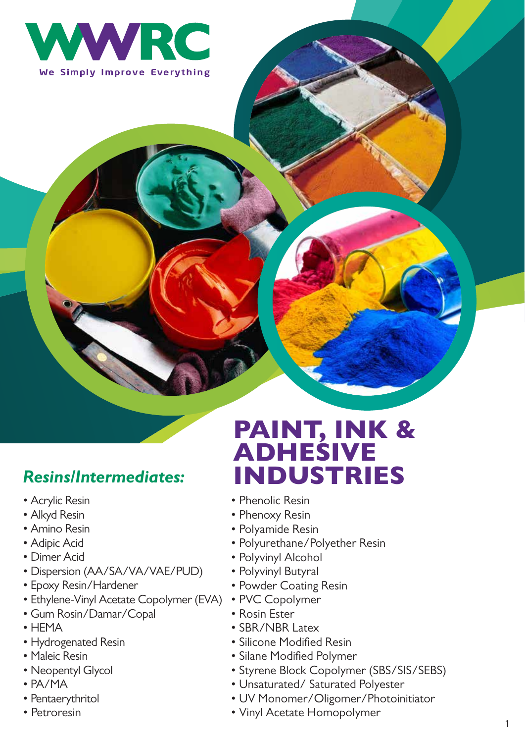

#### *Resins/Intermediates:*

- Acrylic Resin
- Alkyd Resin
- Amino Resin
- Adipic Acid
- Dimer Acid
- Dispersion (AA/SA/VA/VAE/PUD)
- Epoxy Resin/Hardener
- Ethylene-Vinyl Acetate Copolymer (EVA)
- Gum Rosin/Damar/Copal
- HEMA
- Hydrogenated Resin
- Maleic Resin
- Neopentyl Glycol
- PA/MA
- Pentaerythritol
- Petroresin

# PAINT, INK & ADHESIVE INDUSTRIES

- Phenolic Resin
- Phenoxy Resin
- Polyamide Resin
- Polyurethane/Polyether Resin
- Polyvinyl Alcohol
- Polyvinyl Butyral
- Powder Coating Resin
- PVC Copolymer
- Rosin Ester
- SBR/NBR Latex
- Silicone Modified Resin
- Silane Modified Polymer
- Styrene Block Copolymer (SBS/SIS/SEBS)
- Unsaturated/ Saturated Polyester
- UV Monomer/Oligomer/Photoinitiator
- Vinyl Acetate Homopolymer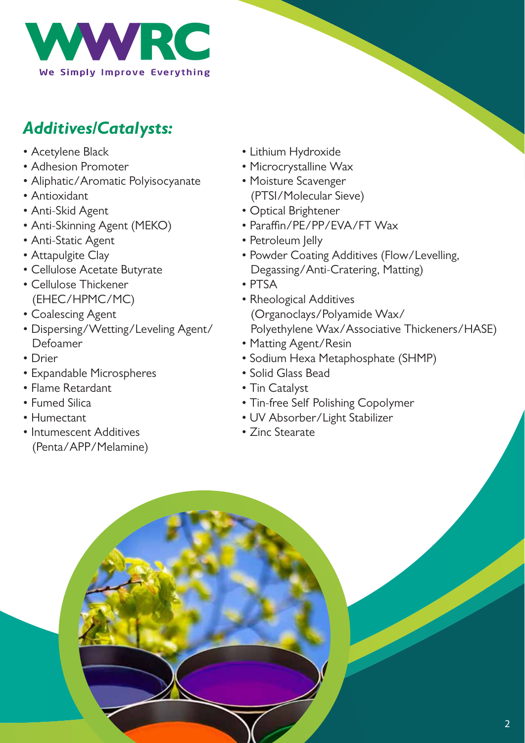

## *Additives/Catalysts:*

- Acetylene Black
- Adhesion Promoter
- Aliphatic/Aromatic Polyisocyanate
- Antioxidant
- Anti-Skid Agent
- Anti-Skinning Agent (MEKO)
- Anti-Static Agent
- Attapulgite Clay
- Cellulose Acetate Butyrate
- Cellulose Thickener (EHEC/HPMC/MC)
- Coalescing Agent
- Dispersing/Wetting/Leveling Agent/ Defoamer
- Drier
- Expandable Microspheres
- Flame Retardant
- Fumed Silica
- Humectant
- Intumescent Additives (Penta/APP/Melamine)
- Lithium Hydroxide
- Microcrystalline Wax
- Moisture Scavenger (PTSI/Molecular Sieve)
- Optical Brightener
- Paraffin/PE/PP/EVA/FT Wax
- Petroleum Jelly
- Powder Coating Additives (Flow/Levelling, Degassing/Anti-Cratering, Matting)
- PTSA
- Rheological Additives (Organoclays/Polyamide Wax/ Polyethylene Wax/Associative Thickeners/HASE)
- Matting Agent/Resin
- Sodium Hexa Metaphosphate (SHMP)
- Solid Glass Bead
- Tin Catalyst
- Tin-free Self Polishing Copolymer
- UV Absorber/Light Stabilizer
- Zinc Stearate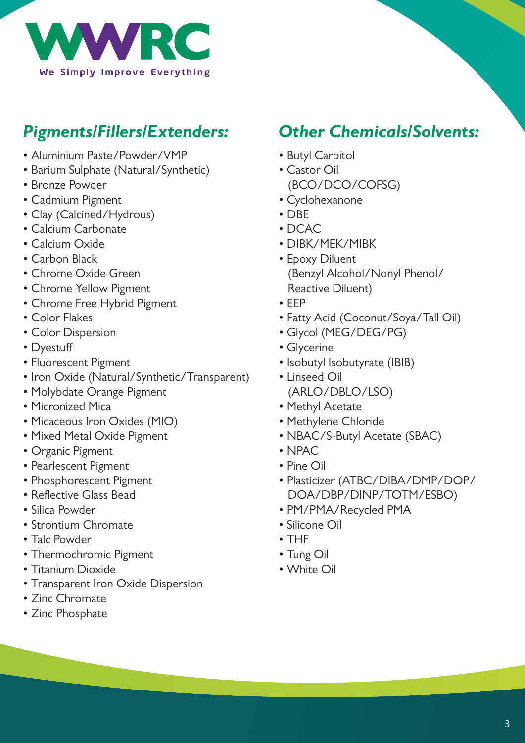

### *Pigments/Fillers/Extenders:*

- Aluminium Paste/Powder/VMP
- Barium Sulphate (Natural/Synthetic)
- Bronze Powder
- Cadmium Pigment
- Clay (Calcined/Hydrous)
- Calcium Carbonate
- Calcium Oxide
- Carbon Black
- Chrome Oxide Green
- Chrome Yellow Pigment
- Chrome Free Hybrid Pigment
- Color Flakes
- Color Dispersion
- Dyestuff
- Fluorescent Pigment
- Iron Oxide (Natural/Synthetic/Transparent)
- Molybdate Orange Pigment
- Micronized Mica
- Micaceous Iron Oxides (MIO)
- Mixed Metal Oxide Pigment
- Organic Pigment
- Pearlescent Pigment
- Phosphorescent Pigment
- Reflective Glass Bead
- Silica Powder
- Strontium Chromate
- Talc Powder
- Thermochromic Pigment
- Titanium Dioxide
- Transparent Iron Oxide Dispersion
- Zinc Chromate
- Zinc Phosphate

#### *Other Chemicals/Solvents:*

- Butyl Carbitol
- Castor Oil (BCO/DCO/COFSG)
- Cyclohexanone
- DBE
- DCAC
- DIBK/MEK/MIBK
- Epoxy Diluent (Benzyl Alcohol/Nonyl Phenol/ Reactive Diluent)
- EEP
- Fatty Acid (Coconut/Soya/Tall Oil)
- Glycol (MEG/DEG/PG)
- Glycerine
- Isobutyl Isobutyrate (IBIB)
- Linseed Oil (ARLO/DBLO/LSO)
- Methyl Acetate
- Methylene Chloride
- NBAC/S-Butyl Acetate (SBAC)
- NPAC
- Pine Oil
- Plasticizer (ATBC/DIBA/DMP/DOP/ DOA/DBP/DINP/TOTM/ESBO)
- PM/PMA/Recycled PMA
- Silicone Oil
- THF
- Tung Oil
- White Oil